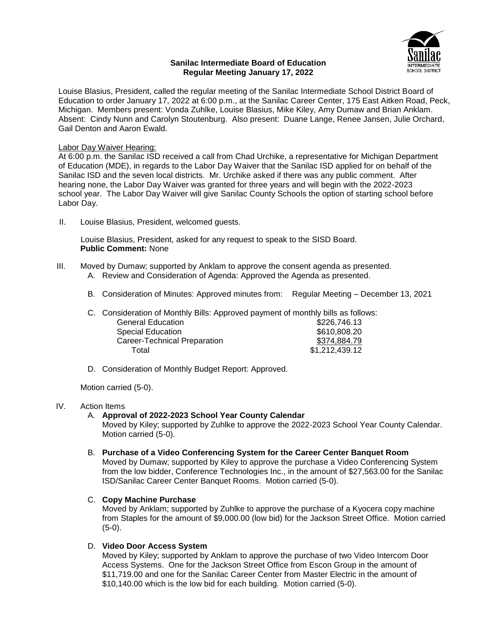## **Sanilac Intermediate Board of Education Regular Meeting January 17, 2022**



Louise Blasius, President, called the regular meeting of the Sanilac Intermediate School District Board of Education to order January 17, 2022 at 6:00 p.m., at the Sanilac Career Center, 175 East Aitken Road, Peck, Michigan. Members present: Vonda Zuhlke, Louise Blasius, Mike Kiley, Amy Dumaw and Brian Anklam. Absent: Cindy Nunn and Carolyn Stoutenburg. Also present: Duane Lange, Renee Jansen, Julie Orchard, Gail Denton and Aaron Ewald.

## Labor Day Waiver Hearing:

At 6:00 p.m. the Sanilac ISD received a call from Chad Urchike, a representative for Michigan Department of Education (MDE), in regards to the Labor Day Waiver that the Sanilac ISD applied for on behalf of the Sanilac ISD and the seven local districts. Mr. Urchike asked if there was any public comment. After hearing none, the Labor Day Waiver was granted for three years and will begin with the 2022-2023 school year. The Labor Day Waiver will give Sanilac County Schools the option of starting school before Labor Day.

II. Louise Blasius, President, welcomed guests.

Louise Blasius, President, asked for any request to speak to the SISD Board. **Public Comment:** None

- III. Moved by Dumaw; supported by Anklam to approve the consent agenda as presented. A. Review and Consideration of Agenda: Approved the Agenda as presented.
	- B. Consideration of Minutes: Approved minutes from: Regular Meeting December 13, 2021

C. Consideration of Monthly Bills: Approved payment of monthly bills as follows: General Education **\$226,746.13** Special Education  $$610,808.20$ Career-Technical Preparation  $$374,884.79$ Total \$1,212,439.12

D. Consideration of Monthly Budget Report: Approved.

Motion carried (5-0).

## IV. Action Items

A. **Approval of 2022-2023 School Year County Calendar**

Moved by Kiley; supported by Zuhlke to approve the 2022-2023 School Year County Calendar. Motion carried (5-0).

B. **Purchase of a Video Conferencing System for the Career Center Banquet Room** Moved by Dumaw; supported by Kiley to approve the purchase a Video Conferencing System from the low bidder, Conference Technologies Inc., in the amount of \$27,563.00 for the Sanilac ISD/Sanilac Career Center Banquet Rooms. Motion carried (5-0).

## C. **Copy Machine Purchase**

Moved by Anklam; supported by Zuhlke to approve the purchase of a Kyocera copy machine from Staples for the amount of \$9,000.00 (low bid) for the Jackson Street Office. Motion carried (5-0).

#### D. **Video Door Access System**

Moved by Kiley; supported by Anklam to approve the purchase of two Video Intercom Door Access Systems. One for the Jackson Street Office from Escon Group in the amount of \$11,719.00 and one for the Sanilac Career Center from Master Electric in the amount of \$10,140.00 which is the low bid for each building. Motion carried (5-0).